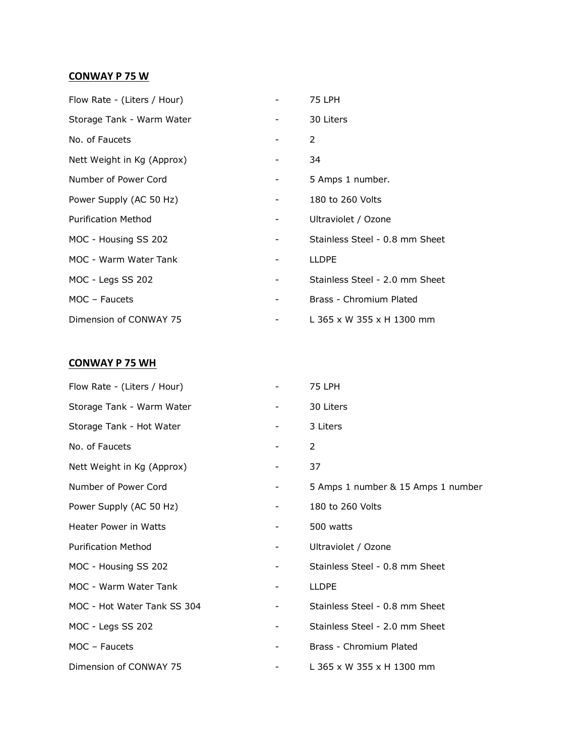## **CONWAY P 75 W**

| Flow Rate - (Liters / Hour) |   | 75 LPH                         |
|-----------------------------|---|--------------------------------|
| Storage Tank - Warm Water   |   | 30 Liters                      |
| No. of Faucets              |   | $\mathcal{P}$                  |
| Nett Weight in Kg (Approx)  |   | 34                             |
| Number of Power Cord        | - | 5 Amps 1 number.               |
| Power Supply (AC 50 Hz)     | - | 180 to 260 Volts               |
| <b>Purification Method</b>  |   | Ultraviolet / Ozone            |
| MOC - Housing SS 202        |   | Stainless Steel - 0.8 mm Sheet |
| MOC - Warm Water Tank       |   | <b>LLDPE</b>                   |
| MOC - Legs SS 202           | - | Stainless Steel - 2.0 mm Sheet |
| MOC - Faucets               |   | Brass - Chromium Plated        |
| Dimension of CONWAY 75      |   | L 365 x W 355 x H 1300 mm      |

## **CONWAY P 75 WH**

| Flow Rate - (Liters / Hour)  |                          | 75 LPH                             |
|------------------------------|--------------------------|------------------------------------|
| Storage Tank - Warm Water    |                          | 30 Liters                          |
| Storage Tank - Hot Water     |                          | 3 Liters                           |
| No. of Faucets               | -                        | 2                                  |
| Nett Weight in Kg (Approx)   |                          | 37                                 |
| Number of Power Cord         | $-$                      | 5 Amps 1 number & 15 Amps 1 number |
| Power Supply (AC 50 Hz)      | -                        | 180 to 260 Volts                   |
| <b>Heater Power in Watts</b> |                          | 500 watts                          |
| <b>Purification Method</b>   | $\overline{\phantom{a}}$ | Ultraviolet / Ozone                |
| MOC - Housing SS 202         | -                        | Stainless Steel - 0.8 mm Sheet     |
| MOC - Warm Water Tank        | -                        | <b>LLDPE</b>                       |
| MOC - Hot Water Tank SS 304  |                          | Stainless Steel - 0.8 mm Sheet     |
| MOC - Legs SS 202            | -                        | Stainless Steel - 2.0 mm Sheet     |
| MOC - Faucets                |                          | Brass - Chromium Plated            |
| Dimension of CONWAY 75       |                          | L 365 x W 355 x H 1300 mm          |